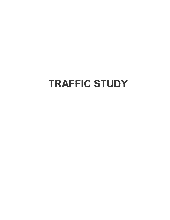# **TRAFFIC STUDY**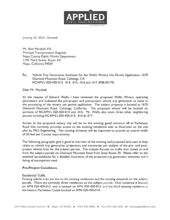

January 25, 2010 - Revised

Mr. Rick Marshall. P.E, Principal Transportation Engineer Napa County Public Works Department I 195 Third Street, Room 201 Napa. California 94559

Re: Vehicle Trip Generation Estimates for the Wallis Winery Use Permit Application, 1670 Diamond Mountain Road, Calistoga, CA NCAPN's 020-450-013, -014, -015, -016 and -017 (P08-00179)

Dear Mr. Marshall:

At the reques<sup>t</sup> of Edward Wallis I have reviewed the proposed Wallis Winery operating parameters and evaluated the pre-project and post-project vehicle trip generation to assist in the processing of the winery use permit application. The subject property is located at 1670 Diamond Mountain Road, Calistoga, California. The proposed winery will be located on portions of NCAPN's 020-450-014 and -015. Mr. Wallis also owns three other neighboring parcels including NCAPN's 020-450-013, -016 & -017.

Access to the proposed winery site will be via the existing gated entrance off of Pacheteau Road that currently provides access to the existing residential uses as illustrated on the site plan by MK2 Engineering. The existing driveway will be improved to provide an overall width of 20 feet per County requirements.

The following paragraphs give <sup>a</sup> general overview of the existing and proposed land uses as they relate to vehicle trip generation projections and summarize our analysis of the pre- and postproject vehicle trips for the subject parcels. The analysis focuses on traffic that comes to and from the subject parcels via Diamond Mountain Road from State Route 29. Please refer to the attached spreadsheets for <sup>a</sup> detailed illustration of the projected trip generation estimates and <sup>a</sup> listing of assumptions used.

# Pre-Project Conditions

# Residential Traffic

Existing vehicle trips are due to the existing residences and the existing vineyards on the subject parcels. There are currently three residences on the subject parcels. One residence is located on APN 020-450-013, one is located on APN 020-450-015, and the third existing residence is the historic Pacheteau Castle located on APN 020-450-014.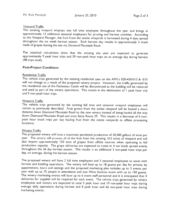# **Vineyard Traffic**

The existing vineyard employs one full time employee throughout the year and brings in approximately 12 additional seasonal employees for pruning and harvest activities. According to the Vineyard Manager, the fruit from the onsite vineyards is harvested during <sup>4</sup> days spread throughout the six week harvest season. Each harvest day results in approximately <sup>3</sup> truck loads of grapes leaving the site via Diamond Mountain Road.

The attached calculations show that the existing site uses are expected to generate approximately <sup>9</sup> peak hour trips and <sup>39</sup> non-peak hour trips on an average day during harvest (48 trips total).

# Post-Project Conditions

# Residential Traffic

The vehicle trips generated by the existing residential uses on the APN's 020-450-013 & -015 will not change as a result of the proposed winery project. However, the traffic generated by the residential use of the Pacheteau Castle will be discontinued as the building will be restored and used as part of the winery operations. This results in the elimination of <sup>I</sup> peak hour trip and 9 non-peak hour trips.

#### **Vineyard Traffic**

The vehicle trips generated by the existing full time and seasonal vineyard employees will remain as previously described. Fruit grown from the onsite vineyard will be hauled <sup>a</sup> short distance down Diamond Mountain Road to the new winery instead of being hauled all the way down Diamond Mountain Road and onto State Route 29. This results in <sup>a</sup> decrease of <sup>6</sup> nonpeak hour truck trips per day hauling fruit from the onsite vineyards to offsite processing locations.

# **Winery Traffic**

The proposed winery will have <sup>a</sup> maximum permitted production of 30,000 gallons of wine per year. The winery will process all of the fruit from the existing 10.5 acres of vineyard and will also import approximately 150 tons of grapes from offsite sources when operating at full production capacity. The grape deliveries are expected to come in 4 ton loads spread evenly throughout the 36 day harvest season. This results in an additional 2 non-peak hour trips per day, on average, during the harvest season.

The proposed winery will have <sup>2</sup> full time employees and <sup>3</sup> seasonal employees to assist with harvest and bottling operations. The winery will host up to <sup>18</sup> guests per day for private, by appointment, tours and tastings and the proposed marketing <sup>p</sup>lan includes up to <sup>3</sup> events per year with up to 75 people in attendance and one Wine Auction event with up to 150 guests. The winery marketing events will have up to 6 event staff personnel and it is anticipated that 4 deliveries for supplies will be required for each event. The vehicle trips generated by winery employees and visitors are expected to total <sup>5</sup> peak hour and <sup>19</sup> non-peak hour trips during average daily operations during harvest and 8 peak hour and 66 non-peak hour trips during marketing events.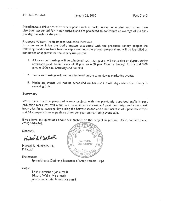Miscellaneous deliveries of winery supplies such as cork, finished wine, <sup>g</sup>lass and barrels have also been accounted for in our analysis and are projected to contribute an average of 0.3 trips per day throughout the year.

#### **Proposed Winery Traffic Impact Reduction Measures**

In order to minimize the traffic impacts associated with the propose<sup>d</sup> winery project the following conditions have been incorporated into the project proposa<sup>l</sup> and will be identified as conditions of approva<sup>l</sup> for the winery use permit:

- All tours and tastings will be scheduled such that guests will not arrive or depart during afternoon peak traffic hours  $(4:00)$  p.m. to  $6:00$  p.m. Monday through Friday and  $3:00$ p.m. to 5:00 p.m. Saturday and Sunday)
- 2. Tours and tastings will not be scheduled on the same day as marketing events.
- 3. Marketing events will not be scheduled on harvest <sup>I</sup> crush days when the winery is receiving fruit.

#### Summary

We project that the proposed winery project, with the previously described traffic impact reduction measures, will result in a minimal net increase of 4 peak hour trips and 7 non-peak hour trips for an average day during the harvest season and <sup>a</sup> net increase of <sup>2</sup> pea<sup>k</sup> hour trips and 54 non-peak hour trips three times per year on marketing event days.

If you have any questions about our analysis or the project in general, <sup>p</sup>lease contact me at (707) 320-4968. -

Michael R Muchath

Michael R. Muelrath, P.E. Principal

Enclosures:

Spreadsheets Outlining Estimates of Daily Vehicle Tris

Copy:

Trish Hornisher (via e-mail) Edward Wallis (via e-mail) Juliana Inman, Architect (via e-mail)

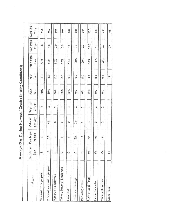Average Day During Harvest / Crush (Existing Conditions)

 $\bar{\beta}$ 

| Category                    | People per              | People per  | Vehicles         | Trips per       | Peak          | Peak             | Non-Peak | Non-Peak         | Total Daily      |
|-----------------------------|-------------------------|-------------|------------------|-----------------|---------------|------------------|----------|------------------|------------------|
|                             | Day                     | Vehicle     | per Day          | Vehicle         | Rate          | Trips            | Rate     | Trips            | Trips            |
|                             |                         |             |                  |                 |               |                  |          |                  |                  |
| Vineyard FT Employees       |                         |             |                  | $\sim$          | 50%           | $\frac{1}{2}$    | 50%      | $\supseteq$      | 2.0              |
|                             |                         |             |                  |                 |               |                  |          |                  |                  |
| Vineyard Seasonal Employees | $\overline{\mathbf{C}}$ | 2.5         | 4.8              | $\sim$          | 50%           | 4.8              | 50%      | $\frac{4}{3}$    | 9.6              |
|                             |                         |             |                  |                 |               |                  |          |                  |                  |
| Winery FT Employees         | 0                       |             | $\circ$          | $\sim$          | 50%           | $\overline{0}$   | 50%      | 0.0              | $\frac{0}{0}$    |
|                             |                         |             |                  |                 |               |                  |          |                  |                  |
| Winery Seasonal Employees   | 0                       |             | $\circ$          | $\sim$          | 50%           | $\frac{0}{2}$    | 50%      | $\overline{0}$ . | $\overline{0}$   |
|                             |                         |             |                  |                 |               |                  |          |                  |                  |
| Event Staff                 | 0                       |             | $\circ$          | $\sim$          | 50%           | 0.0              | 50%      | $\overline{0}$ . | $\overline{0}$ . |
|                             |                         |             |                  |                 |               |                  |          |                  |                  |
| Tours and Tastings          | 0                       | 2.6         | $\overline{0}$ . | $\sim$          | $0\%$         | 0.0              | 100%     | 0.0              | $\overline{0}$   |
|                             |                         |             |                  |                 |               |                  |          |                  |                  |
| Marketing Events            | 0                       | $\subseteq$ | $\circ$          | $\sim$          | $0\%$         | 0.0              | 100%     | 0.0              | O.<br>O.         |
|                             |                         |             |                  |                 |               |                  |          |                  |                  |
| Residences (3 Total)        | n/a                     | n/a         | m                | $\sim$          | $10\%$        | $\frac{0}{3}$    | 90%      | 27.0             | 30.0             |
|                             |                         |             |                  |                 |               |                  |          |                  |                  |
| <b>Grape Deliveries</b>     | n/a                     | n/a         | m                | $\mathbf{\sim}$ | $0\%$         | 0.0              | 100%     | 6.0              | 6.0              |
|                             |                         |             |                  |                 |               |                  |          |                  |                  |
| Winery Deliveries           | n/a                     | n/a         | $\circ$          | $\sim$          | $\frac{6}{3}$ | $\overline{0}$ . | 100%     | $\overline{0}$   | $\overline{0}$ . |
|                             |                         |             |                  |                 |               |                  |          |                  |                  |
| Grand Total                 | $\mathbf{r}$            |             |                  |                 |               | ው                |          | 39               | $\frac{8}{4}$    |
|                             |                         |             |                  |                 |               |                  |          |                  |                  |

 $\omega$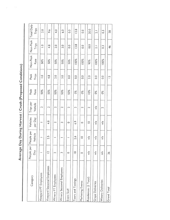Average Day During Harvest / Crush (Proposed Conditions)

| Category                    | People per     | People per  | Vehicles      | Trips per       | Peak  | Peak              | Non-Peak | Non-Peak         | Total Daily   |
|-----------------------------|----------------|-------------|---------------|-----------------|-------|-------------------|----------|------------------|---------------|
|                             | Day            | Vehicle     | per Day       | Vehicle         | Rate  | Trips             | Rate     | Trips            | Trips         |
| Vineyard FT Employees       |                |             |               | $\sim$          | 50%   | $\overline{a}$    | $50\%$   | $\frac{1}{2}$    | 2.0           |
| Vineyard Seasonal Employees | $\overline{C}$ | 2.5         | $\frac{8}{4}$ | $\sim$          | 50%   | $\frac{8}{1}$     | 50%      | $4.\overline{8}$ | 9.6           |
| Winery FT Employees         | $\sim$         |             | $\sim$        | $\sim$          | 50%   | 2.0               | 50%      | 2.0              | $\frac{1}{4}$ |
| Winery Seasonal Employees   | ω              |             | m             | $\sim$          | 50%   | $\overline{3}$ .0 | 50%      | 3.0              | o.o           |
| Event Staff                 | $\circ$        |             | $\circ$       | $\mathbf{\sim}$ | 50%   | 0.0               | 50%      | $\frac{0}{0}$    | $\frac{0}{2}$ |
| <b>Tours and Tastings</b>   | $\frac{8}{1}$  | 2.6         | 6.9           | $\sim$          | $0\%$ | 0.0               | 100%     | 13.8             | 13.8          |
| Marketing Events            | 0              | $\subseteq$ | $\circ$       | $\sim$          | $0\%$ | 0.0               | 100%     | 0.0              | 0.0           |
| Residences (2 Total)        | n/a            | n/a         | $\subseteq$   | $\sim$          | 10%   | 2.0               | 90%      | $\frac{8}{3}$    | 20.0          |
| <b>Grape Deliveries</b>     | nía            | n/a         | n/a           | n/a             | $0\%$ | 0.0               | 100%     | $\overline{2}$   | $\frac{1}{2}$ |
| Winery Deliveries           | n/a            | n/a         | n/a           | $\sim$          | $0\%$ | 0.0               | 100%     | $\frac{3}{2}$    | $\frac{3}{2}$ |
| Grand Total                 | $\frac{8}{3}$  |             |               |                 |       | m                 |          | $\frac{4}{6}$    | <u>დ</u>      |

ings.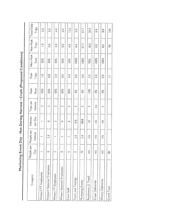Marketing Event Day - Not During Harvest / Crush (Proposed Conditions)

| Category                    | People per    | People per | Vehicles    | Trips per | Peak                 | Peak             | Non-Peak | Non-Peak      | <b>Total Daily</b> |
|-----------------------------|---------------|------------|-------------|-----------|----------------------|------------------|----------|---------------|--------------------|
|                             | Day           | Vehicle    | per Day     | Vehicle   | Rate                 | Trips            | Rate     | Trips         | Trips              |
| Vineyard FT Employees       |               |            |             | $\sim$    | 50%                  | $\supseteq$      | 50%      | $\frac{1}{2}$ | 2.0                |
|                             |               |            |             |           |                      |                  |          |               |                    |
| Vineyard Seasonal Employees | 0             | 2.5        | 0           | $\sim$    | 50%                  | 0.0              | 50%      | 0.0           | $\overline{0}$     |
| Winery FT Employees         | $\sim$        |            | $\sim$      | $\sim$    | 50%                  | 2.0              | 50%      | 2.0           | $\frac{4}{3}$      |
|                             |               |            |             |           |                      |                  |          |               |                    |
| Winery Seasonal Employees   | $\circ$       |            | $\circ$     | $\sim$    | 50%                  | 0.0              | 50%      | 0.0           | 0.0                |
|                             |               |            |             |           |                      |                  |          |               |                    |
| Event Staff                 | P             |            | Ó           | $\sim$    | 50%                  | $\frac{6}{9}$    | 50%      | 6.0           | 12.0               |
|                             |               |            |             |           |                      |                  |          |               |                    |
| <b>Tours and Tastings</b>   | $\circ$       | 2.6        | 0.0         | $\sim$    | $0\%$                | 0.0              | 100%     | 0.0           | $\overline{0}$ .   |
|                             |               |            |             |           |                      |                  |          |               |                    |
| Marketing Events            | 75            | 2.6        | 28.8        | $\sim$    | $0\%$                | $\overline{0}$ . | 100%     | 57.7          | 57.7               |
|                             |               |            |             |           |                      |                  |          |               |                    |
| Residences (2 Total)        | $\frac{a}{a}$ | n/a        | $\supseteq$ | $\sim$    | 10%                  | 2.0              | 90%      | $\frac{0}{8}$ | 20.0               |
|                             |               |            |             |           |                      |                  |          |               |                    |
| <b>Grape Deliveries</b>     | n/a           | n/a        | n/a         | n/a       | $\frac{8}{3}$        | 0.0              | 100%     | 0.0           | 0.0                |
|                             |               |            |             |           |                      |                  |          |               |                    |
| Winery Deliveries           | n/a           | n/a        | n/a         | $\sim$    | $\delta^{\circ}_{0}$ | $\overline{0}$ . | 100%     | $\frac{0}{8}$ | O.G                |
|                             |               |            |             |           |                      |                  |          |               |                    |
| Grand Total                 | $\frac{4}{3}$ |            |             |           |                      |                  |          | S6            | 104                |
|                             |               |            |             |           |                      |                  |          |               |                    |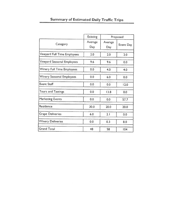|                                  | Existing       |                | Proposed  |
|----------------------------------|----------------|----------------|-----------|
| Category                         | Average<br>Day | Average<br>Day | Event Day |
| Vineyard Full Time Employees     | 2.0            | 2.0            | 2.0       |
| Vineyard Seasonal Employees      | 9.6            | 9.6            | 0.0       |
| Winery Full Time Employees       | 0.0            | 4.0            | 4.0       |
| <b>Winery Seasonal Employees</b> | 0.0            | 6.0            | 0.0       |
| <b>Event Staff</b>               | 0.0            | 0.0            | 12.0      |
| Tours and Tastings               | 0.0            | 13.8           | 0.0       |
| Marketing Events                 | 0.0            | 0.0            | 57.7      |
| Residence                        | 30.0           | 20.0           | 20.0      |
| <b>Grape Deliveries</b>          | 6.0            | 2.1            | 0.0       |
| <b>Winery Deliveries</b>         | 0.0            | 0.3            | 8.0       |
| <b>Grand Total</b>               | 48             | 58             | 104       |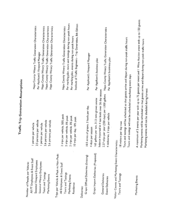| Visitor Counts and Marketing Event Characteristics:<br>Grape Import Deliveries (Proposed)<br>Trips per Vehicle & Peak vs Non-Peak:<br>Grape Offhaul Deliveries (Existing)<br>All FT Employees & Event Staff<br>Seasonal Vineyard Employees<br>Seasonal Winery Employees<br>Number of People per Vehicle:<br>All Employees & Event Staff<br>Tours and Tastings<br>Tours and Tastings<br>General Deliveries<br>Tours and Tastings<br>Marketing Events<br>Marketing Events<br>Event Deliveries<br>Residence<br>Deliveries: | Tours and tastings will be scheduled so that guests arrive and depart during non-peak traffic hours<br>Tours and tastings will not be scheduled on marketing event days<br><b>Traffic Trip Generation Assumptions</b><br>balance imported in 4 ton loads over 36 day season<br>2.27 trips per year (250 days) per 1,000 gallons<br>165 gallons per ton, 31.5 tons grown onsite<br>10.5 acres of grapes, 3 loads per day.<br>4 deliveries, 2 trips per vehicle<br>2 trips per vehicle, 50% peak<br>2 trips per vehicle, 0% peak<br>2 trips per vehicle, 0% peak<br>trips per day, 10% peak<br>2.5 persons per vehicle<br>persons per vehicle<br>persons per vehicle<br>18 visitors per day max<br>person per vehicle<br>I person per vehicle<br>2.6 persons per vehic<br>4 days per season<br>2.6<br>$\cong$ | Per marking plan, tours and tastings during non-peak hours<br>Institute of Traffic Engineers - Trip Generation, 8th Edition<br>Napa County Winery Traffic Generation Characteristics<br>Napa County Winery Traffic Generation Characteristics<br>Napa County Winery Traffic Generation Characteristics<br>Napa County Winery Traffic Generation Characteristics<br>Napa County Winery Traffic Generation Characteristics<br>Napa County Winery Traffic Generation Characteristics<br>Per marking plan, events during non-peak hours<br>Per Applicant's Vineyard Manager<br>Per Applicant's Vineyard Manager<br>Per Applicant's busniness plan<br>Per Applicant's business plan |
|-------------------------------------------------------------------------------------------------------------------------------------------------------------------------------------------------------------------------------------------------------------------------------------------------------------------------------------------------------------------------------------------------------------------------------------------------------------------------------------------------------------------------|-------------------------------------------------------------------------------------------------------------------------------------------------------------------------------------------------------------------------------------------------------------------------------------------------------------------------------------------------------------------------------------------------------------------------------------------------------------------------------------------------------------------------------------------------------------------------------------------------------------------------------------------------------------------------------------------------------------------------------------------------------------------------------------------------------------|--------------------------------------------------------------------------------------------------------------------------------------------------------------------------------------------------------------------------------------------------------------------------------------------------------------------------------------------------------------------------------------------------------------------------------------------------------------------------------------------------------------------------------------------------------------------------------------------------------------------------------------------------------------------------------|
| Marketing Events                                                                                                                                                                                                                                                                                                                                                                                                                                                                                                        | Marketing events will be scheduled so that guests arrive and depart during non-peak traffic hours<br>Marketing events will not be sheduled during harvest                                                                                                                                                                                                                                                                                                                                                                                                                                                                                                                                                                                                                                                   | A maximum of 3 events per year with up to 75 guests per event and 1 Wine Auction event with up to 150 guests                                                                                                                                                                                                                                                                                                                                                                                                                                                                                                                                                                   |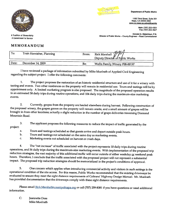

A Commitment to Service

# MEMORANDUM

|--|--|

1195 Third Street, Suite 201 Napa, CA 94559-3092 www.co.napa.ca.us/publicworks

> Main: (707) 253-4351 Fax: (707) 253-4627

Donald G. Ridenhour, P.E.<br>Director of Public Works – County Engineer – Road Commissioner

| To:   | Trish Hornisher, Planning | From: | лл ЛЛ<br>Rick Marshall<br>Deputy Director of Public Works |
|-------|---------------------------|-------|-----------------------------------------------------------|
| Date: | December 14, 2009         | Re:   | Wallis Family Winery P08-00197                            |

<sup>I</sup> have reviewed <sup>a</sup> package of information submitted by Mike Muelrath of Applied Civil Engineering regarding the subject project. <sup>I</sup> offer the following comments:

1. The project proposes the restoration of an historic residential structure and use of it for a winery with tasting and events. Two other residences on the property will remain in residential use. Tours and tastings will in an estimated 58 daily trips during routine operations, and 104 daily trips during the maximum-size marketing events.

2. Currently, grapes from the property are hauled elsewhere during harvest. Following construction of the proposed winery, the grapes grown on the property will remain onsite, and a small amount of grapes will be brought i

3. The applicant proposes the following measures to reduce the impact of traffic generated by the project:

a. Tours and tastings scheduled so that guests arrive and depart outside peak hours.<br>b. Tours and tastings not scheduled on the same day as marketing sugnts.

Tours and tastings not scheduled on the same day as marketing events.

c. Marketing events not scheduled on harvest or crush days.

4. The "net increase" of traffic associated with the project represents 10 daily trips during routine<br>operations, and 56 daily trips during the maximum-size marketing events. With implementation of the proposed trip reduction strategies, the vast majority of this additional traffic will occur outside of either weekday <u>or</u> weekend peak<br>hours. Therefore, I conclude that the traffic associated with the proposed project will not represen

5. One concern which applies when introducing commercial activity and visitors in such settings is the operational condition of the site access. For this reason, Public Works recommended that the existing driveways be eval has provided documentation that the driveways comply with these sight distance requirements.

Please email Rick Marshall@countyofnapa.org or call (707) 259-8381 if you have questions or need additional information.

C: Jeannette Doss Mike Muelrath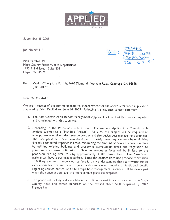

September 28, <sup>2009</sup>

Jot) No. 09-I 15 ,

Napa County Public Works Department I I 95 Third Street, Suite 20 I Napa, CA 94559



Re: Wallis Winery Use Permit, <sup>1670</sup> Diamond Mountain Road, Calistoga. CA <sup>945</sup> <sup>15</sup> (P08-00179)

Dear Mr. Marshall:

We are in receipt of the comments from your department for the above referenced application prepare<sup>d</sup> by Erich Kroll. dated June 24, 2009. Following is <sup>a</sup> response to each comment:

- 1. The Post-Construction Runoff Management Applicability Checklist has been completed and is included with this submittal.
- 2. According to the Post-Construction Runoff Management Applicability Checklist this project qualifies as <sup>a</sup> "Standard Project". As such, the project will be required to incorporate several standard source control and site design best managemen<sup>t</sup> practices. The conceptual <sup>p</sup>lans have been developed to satisfy these requirements by minimizing directly connected impervious areas, minimizing the amount of new impervious surface by utilizing existing buildings and preserving surrounding trees and vegetation to promote stormwater infiltration. New impervious surfaces will be limited to the proposed parking area totaling approximately 3,000 square feet. The "overflow" parking will have <sup>a</sup> permeable surface. Since the project does not propose more than 10,000 square feet of impervious surface it is my understanding that stormwater runoff calculations for pre and post project conditions are not required. Additional details regarding source control and site design best management practices will be developed when the construction level site improvement <sup>p</sup>lans are prepared.
- 3. The proposed parking stalls are labeled and dimensioned in accordance with the Napa County Road and Street Standards on the revised sheet AL0 prepared by MK2 Engineering.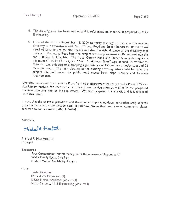- 4. The drawing scale has been verified and is referenced on sheet Al.0 prepared by MK2 Engineering.
- 5. I visited the site on September 18, 2009 to verify that sight distance at the existing driveway is in accordance with Napa County Road and Street Standards. Based on my visual observations at the site I confirmed that t miles per hour. The sight distance at the existing driveway where vehicles leave the project site and enter the public road meets both Napa County and Caltrans requirements.

We also understand that Jeanette Doss from your department has requested a Phase I Water<br>Availability Analysis for each parcel in the current configuration as well as in the proposed<br>configuration after the lot line adjust

I trust that the above explanations and the attached supporting documents adequately address your concerns and comments to date. If you have any further questions or comments, <sup>p</sup>lease feel free to contact me at (707) 320-4968

Sincerely,

Hichael R. Neubath

Michael R. Muelrath, P.E. Principal

Enclosures:

Post Construction Runoff Management Requirements "Appendix A" Wallis Family Estate Sire Plan Phase <sup>I</sup> Water Availability Analysis

Copy:

Trish Hornisher Edward Wallis (via e-mail) Juliana Inman, Architect (via e-mail) Jessica Sanders, MK2 Engineering (via e-mail)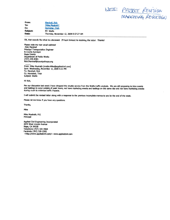PRUJECT REVISION RESTUG KEUCCION

From: Marshall, Rick To: "Mike Muelrath" Cc: Homisher. Trish Subject: RE: Wallis Date: Thursday, November 12, 2009 8:57:27 AM

OK, that sounds like what we discussed. I'll look forward to receiving the letter. Thanks!

Please note my new email address! -Rick Marshall Principal Transportation Engineer & County Surveyor Napa County Department of Public Works (707) 259-8381 Rick.Marshall@countyofnapa.org

From: Mike Muelrath [mailto: Mike@appliedcivil.comJ Sent: Wednesday, November 11, 2009 5:21 PM To: Marshall, Rick Cc: Hornisher, Trish Subject: Wallis

Hi Rick,

Per our discussion last week I have dropped the shuttle service from the Wallis traffic analysis. We are still proposing to time events<br>and tastings to occur outside of peak hours, not have marketing events and tastings on

<sup>I</sup> will submit the revised letter along with <sup>a</sup> response to the previous incomplete memos to you by the end of the week.

Please let me know if you have any questions.

Thanks,

Mike

Mike Muelrath, P.E. Principal

Applied Civil Engineering Incorporated 2074 West Lincoln Avenue Napa, CA 94558 Telephone (707) 320-4968 Facsimile (707) 320-2395 <http://www.appliedcivil.com/> www.appliedcivil.com